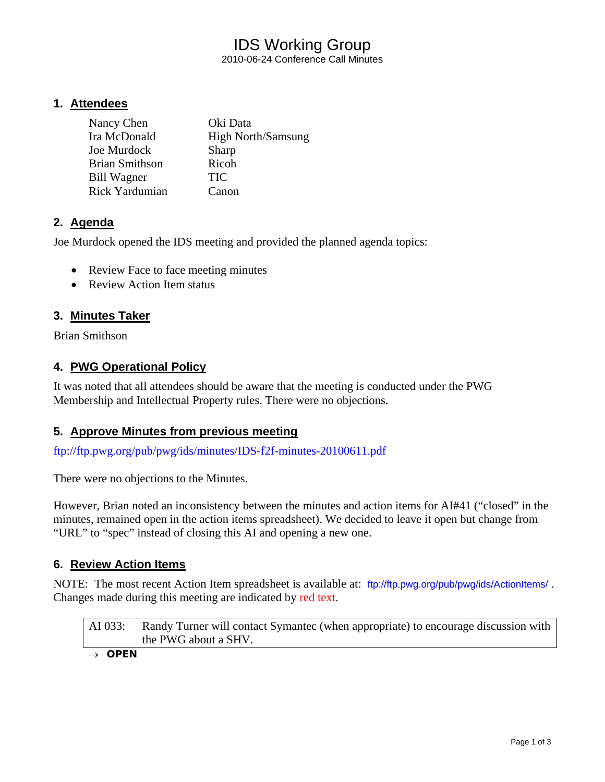# IDS Working Group 2010-06-24 Conference Call Minutes

### **1. Attendees**

| Nancy Chen            | Oki Data                  |
|-----------------------|---------------------------|
| Ira McDonald          | <b>High North/Samsung</b> |
| Joe Murdock           | Sharp                     |
| <b>Brian Smithson</b> | Ricoh                     |
| <b>Bill Wagner</b>    | <b>TIC</b>                |
| <b>Rick Yardumian</b> | Canon                     |

# **2. Agenda**

Joe Murdock opened the IDS meeting and provided the planned agenda topics:

- Review Face to face meeting minutes
- Review Action Item status

# **3. Minutes Taker**

Brian Smithson

# **4. PWG Operational Policy**

It was noted that all attendees should be aware that the meeting is conducted under the PWG Membership and Intellectual Property rules. There were no objections.

### **5. Approve Minutes from previous meeting**

<ftp://ftp.pwg.org/pub/pwg/ids/minutes/IDS-f2f-minutes-20100611.pdf>

There were no objections to the Minutes.

However, Brian noted an inconsistency between the minutes and action items for AI#41 ("closed" in the minutes, remained open in the action items spreadsheet). We decided to leave it open but change from "URL" to "spec" instead of closing this AI and opening a new one.

### **6. Review Action Items**

NOTE: The most recent Action Item spreadsheet is available at: <ftp://ftp.pwg.org/pub/pwg/ids/ActionItems/>. Changes made during this meeting are indicated by red text.

|  | AI 033: Randy Turner will contact Symantec (when appropriate) to encourage discussion with<br>the PWG about a SHV. |
|--|--------------------------------------------------------------------------------------------------------------------|
|--|--------------------------------------------------------------------------------------------------------------------|

#### → *OPEN*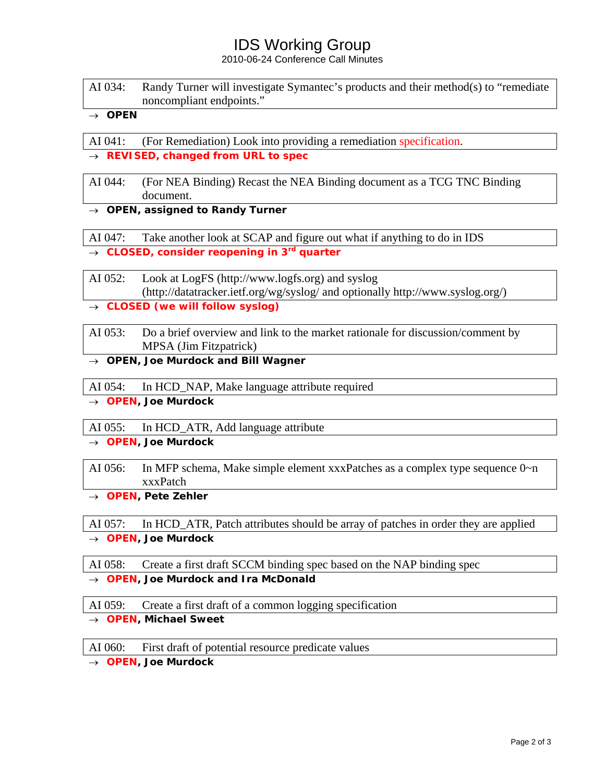# IDS Working Group

2010-06-24 Conference Call Minutes

| AI 034: | Randy Turner will investigate Symantec's products and their method(s) to "remediate |
|---------|-------------------------------------------------------------------------------------|
|         | noncompliant endpoints."                                                            |

#### → *OPEN*

AI 041: (For Remediation) Look into providing a remediation specification.

→ *REVISED, changed from URL to spec* 

- AI 044: (For NEA Binding) Recast the NEA Binding document as a TCG TNC Binding document.
- → *OPEN, assigned to Randy Turner*

AI 047: Take another look at SCAP and figure out what if anything to do in IDS

→ *CLOSED, consider reopening in 3rd quarter* 

AI 052: Look at LogFS (http://www.logfs.org) and syslog (http://datatracker.ietf.org/wg/syslog/ and optionally http://www.syslog.org/)

→ *CLOSED (we will follow syslog)*

AI 053: Do a brief overview and link to the market rationale for discussion/comment by MPSA (Jim Fitzpatrick)

→ *OPEN, Joe Murdock and Bill Wagner* 

AI 054: In HCD\_NAP, Make language attribute required

→ *OPEN, Joe Murdock* 

AI 055: In HCD\_ATR, Add language attribute

→ *OPEN, Joe Murdock* 

AI 056: In MFP schema, Make simple element xxxPatches as a complex type sequence  $0\nu$ n xxxPatch

→ *OPEN, Pete Zehler* 

AI 057: In HCD\_ATR, Patch attributes should be array of patches in order they are applied → *OPEN, Joe Murdock* 

AI 058: Create a first draft SCCM binding spec based on the NAP binding spec

→ *OPEN, Joe Murdock and Ira McDonald* 

AI 059: Create a first draft of a common logging specification

# → *OPEN, Michael Sweet*

AI 060: First draft of potential resource predicate values

→ *OPEN, Joe Murdock*